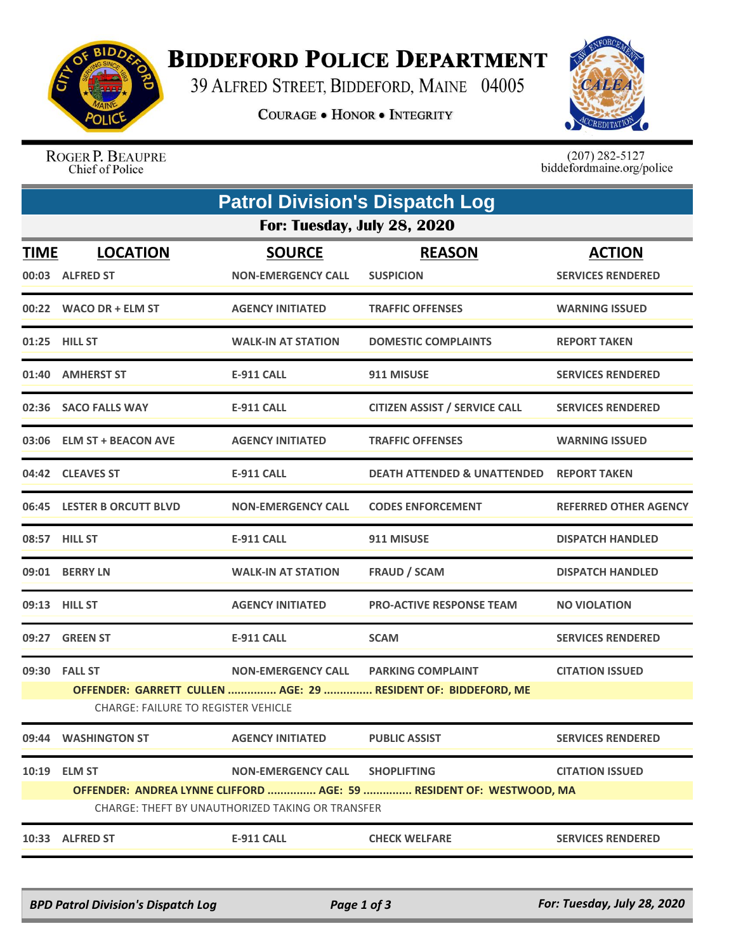

## **BIDDEFORD POLICE DEPARTMENT**

39 ALFRED STREET, BIDDEFORD, MAINE 04005

**COURAGE . HONOR . INTEGRITY** 



ROGER P. BEAUPRE Chief of Police

 $(207)$  282-5127<br>biddefordmaine.org/police

|                             |                                                             | <b>Patrol Division's Dispatch Log</b>                                                |                                                                                           |                                           |  |  |  |
|-----------------------------|-------------------------------------------------------------|--------------------------------------------------------------------------------------|-------------------------------------------------------------------------------------------|-------------------------------------------|--|--|--|
| For: Tuesday, July 28, 2020 |                                                             |                                                                                      |                                                                                           |                                           |  |  |  |
| <b>TIME</b>                 | <b>LOCATION</b><br>00:03 ALFRED ST                          | <b>SOURCE</b><br><b>NON-EMERGENCY CALL</b>                                           | <b>REASON</b><br><b>SUSPICION</b>                                                         | <b>ACTION</b><br><b>SERVICES RENDERED</b> |  |  |  |
|                             | 00:22 WACO DR + ELM ST                                      | <b>AGENCY INITIATED</b>                                                              | <b>TRAFFIC OFFENSES</b>                                                                   | <b>WARNING ISSUED</b>                     |  |  |  |
|                             | 01:25 HILL ST                                               | <b>WALK-IN AT STATION</b>                                                            | <b>DOMESTIC COMPLAINTS</b>                                                                | <b>REPORT TAKEN</b>                       |  |  |  |
|                             | 01:40 AMHERST ST                                            | <b>E-911 CALL</b>                                                                    | 911 MISUSE                                                                                | <b>SERVICES RENDERED</b>                  |  |  |  |
|                             | 02:36 SACO FALLS WAY                                        | <b>E-911 CALL</b>                                                                    | <b>CITIZEN ASSIST / SERVICE CALL</b>                                                      | <b>SERVICES RENDERED</b>                  |  |  |  |
|                             | 03:06 ELM ST + BEACON AVE                                   | <b>AGENCY INITIATED</b>                                                              | <b>TRAFFIC OFFENSES</b>                                                                   | <b>WARNING ISSUED</b>                     |  |  |  |
|                             | 04:42 CLEAVES ST                                            | <b>E-911 CALL</b>                                                                    | <b>DEATH ATTENDED &amp; UNATTENDED</b>                                                    | <b>REPORT TAKEN</b>                       |  |  |  |
|                             | 06:45 LESTER B ORCUTT BLVD                                  | <b>NON-EMERGENCY CALL</b>                                                            | <b>CODES ENFORCEMENT</b>                                                                  | <b>REFERRED OTHER AGENCY</b>              |  |  |  |
|                             | 08:57 HILL ST                                               | <b>E-911 CALL</b>                                                                    | 911 MISUSE                                                                                | <b>DISPATCH HANDLED</b>                   |  |  |  |
|                             | 09:01 BERRY LN                                              | <b>WALK-IN AT STATION</b>                                                            | <b>FRAUD / SCAM</b>                                                                       | <b>DISPATCH HANDLED</b>                   |  |  |  |
|                             | 09:13 HILL ST                                               | <b>AGENCY INITIATED</b>                                                              | <b>PRO-ACTIVE RESPONSE TEAM</b>                                                           | <b>NO VIOLATION</b>                       |  |  |  |
|                             | 09:27 GREEN ST                                              | E-911 CALL                                                                           | <b>SCAM</b>                                                                               | <b>SERVICES RENDERED</b>                  |  |  |  |
|                             | 09:30 FALL ST<br><b>CHARGE: FAILURE TO REGISTER VEHICLE</b> | NON-EMERGENCY CALL PARKING COMPLAINT                                                 | OFFENDER: GARRETT CULLEN  AGE: 29  RESIDENT OF: BIDDEFORD, ME                             | <b>CITATION ISSUED</b>                    |  |  |  |
|                             | 09:44 WASHINGTON ST                                         | <b>AGENCY INITIATED</b>                                                              | <b>PUBLIC ASSIST</b>                                                                      | <b>SERVICES RENDERED</b>                  |  |  |  |
|                             | 10:19 ELM ST                                                | <b>NON-EMERGENCY CALL</b><br><b>CHARGE: THEFT BY UNAUTHORIZED TAKING OR TRANSFER</b> | <b>SHOPLIFTING</b><br>OFFENDER: ANDREA LYNNE CLIFFORD  AGE: 59  RESIDENT OF: WESTWOOD, MA | <b>CITATION ISSUED</b>                    |  |  |  |
|                             | 10:33 ALFRED ST                                             | <b>E-911 CALL</b>                                                                    | <b>CHECK WELFARE</b>                                                                      | <b>SERVICES RENDERED</b>                  |  |  |  |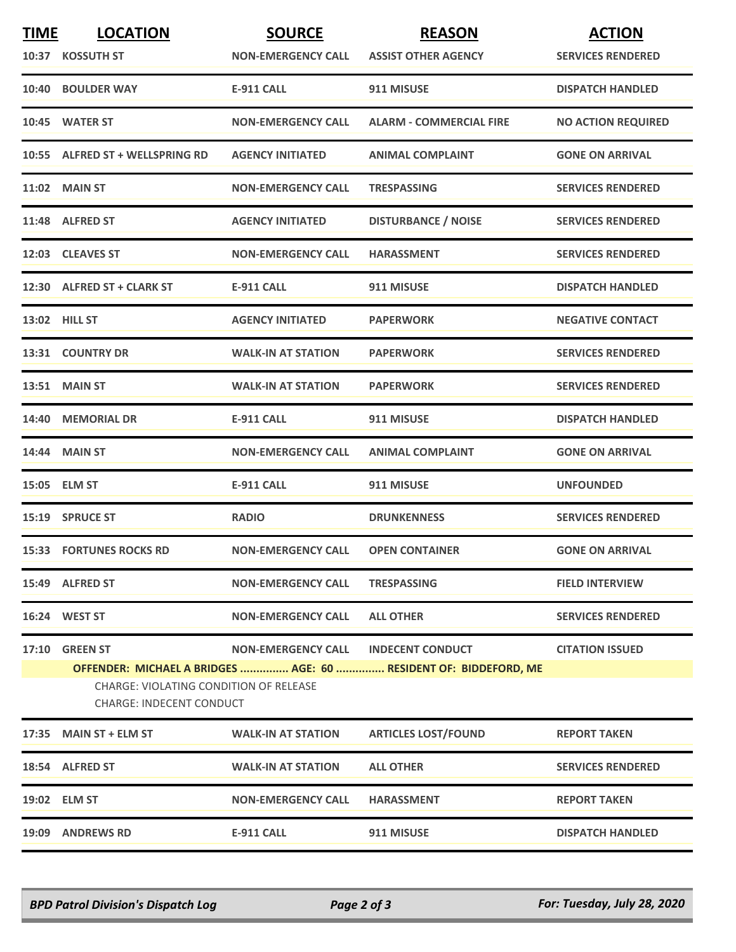| <b>TIME</b> | <b>LOCATION</b>                                                                                                                                      | <b>SOURCE</b>             | <b>REASON</b>                  | <b>ACTION</b>             |
|-------------|------------------------------------------------------------------------------------------------------------------------------------------------------|---------------------------|--------------------------------|---------------------------|
|             | 10:37 KOSSUTH ST                                                                                                                                     | <b>NON-EMERGENCY CALL</b> | <b>ASSIST OTHER AGENCY</b>     | <b>SERVICES RENDERED</b>  |
|             | 10:40 BOULDER WAY                                                                                                                                    | <b>E-911 CALL</b>         | 911 MISUSE                     | <b>DISPATCH HANDLED</b>   |
|             | 10:45 WATER ST                                                                                                                                       | <b>NON-EMERGENCY CALL</b> | <b>ALARM - COMMERCIAL FIRE</b> | <b>NO ACTION REQUIRED</b> |
|             | 10:55 ALFRED ST + WELLSPRING RD                                                                                                                      | <b>AGENCY INITIATED</b>   | <b>ANIMAL COMPLAINT</b>        | <b>GONE ON ARRIVAL</b>    |
|             | <b>11:02 MAIN ST</b>                                                                                                                                 | <b>NON-EMERGENCY CALL</b> | <b>TRESPASSING</b>             | <b>SERVICES RENDERED</b>  |
|             | 11:48 ALFRED ST                                                                                                                                      | <b>AGENCY INITIATED</b>   | <b>DISTURBANCE / NOISE</b>     | <b>SERVICES RENDERED</b>  |
|             | 12:03 CLEAVES ST                                                                                                                                     | <b>NON-EMERGENCY CALL</b> | <b>HARASSMENT</b>              | <b>SERVICES RENDERED</b>  |
|             | 12:30 ALFRED ST + CLARK ST                                                                                                                           | <b>E-911 CALL</b>         | 911 MISUSE                     | <b>DISPATCH HANDLED</b>   |
|             | 13:02 HILL ST                                                                                                                                        | <b>AGENCY INITIATED</b>   | <b>PAPERWORK</b>               | <b>NEGATIVE CONTACT</b>   |
|             | 13:31 COUNTRY DR                                                                                                                                     | <b>WALK-IN AT STATION</b> | <b>PAPERWORK</b>               | <b>SERVICES RENDERED</b>  |
|             | <b>13:51 MAIN ST</b>                                                                                                                                 | <b>WALK-IN AT STATION</b> | <b>PAPERWORK</b>               | <b>SERVICES RENDERED</b>  |
|             | 14:40 MEMORIAL DR                                                                                                                                    | <b>E-911 CALL</b>         | 911 MISUSE                     | <b>DISPATCH HANDLED</b>   |
|             | <b>14:44 MAIN ST</b>                                                                                                                                 | <b>NON-EMERGENCY CALL</b> | <b>ANIMAL COMPLAINT</b>        | <b>GONE ON ARRIVAL</b>    |
|             | 15:05 ELM ST                                                                                                                                         | <b>E-911 CALL</b>         | 911 MISUSE                     | <b>UNFOUNDED</b>          |
|             | 15:19 SPRUCE ST                                                                                                                                      | <b>RADIO</b>              | <b>DRUNKENNESS</b>             | <b>SERVICES RENDERED</b>  |
|             | <b>15:33 FORTUNES ROCKS RD</b>                                                                                                                       | <b>NON-EMERGENCY CALL</b> | <b>OPEN CONTAINER</b>          | <b>GONE ON ARRIVAL</b>    |
|             | 15:49 ALFRED ST                                                                                                                                      | <b>NON-EMERGENCY CALL</b> | <b>TRESPASSING</b>             | <b>FIELD INTERVIEW</b>    |
|             | 16:24 WEST ST                                                                                                                                        | <b>NON-EMERGENCY CALL</b> | <b>ALL OTHER</b>               | <b>SERVICES RENDERED</b>  |
| 17:10       | <b>GREEN ST</b>                                                                                                                                      | <b>NON-EMERGENCY CALL</b> | <b>INDECENT CONDUCT</b>        | <b>CITATION ISSUED</b>    |
|             | OFFENDER: MICHAEL A BRIDGES  AGE: 60  RESIDENT OF: BIDDEFORD, ME<br><b>CHARGE: VIOLATING CONDITION OF RELEASE</b><br><b>CHARGE: INDECENT CONDUCT</b> |                           |                                |                           |
|             | 17:35 MAIN ST + ELM ST                                                                                                                               | <b>WALK-IN AT STATION</b> | <b>ARTICLES LOST/FOUND</b>     | <b>REPORT TAKEN</b>       |
|             | 18:54 ALFRED ST                                                                                                                                      | <b>WALK-IN AT STATION</b> | <b>ALL OTHER</b>               | <b>SERVICES RENDERED</b>  |
|             | 19:02 ELM ST                                                                                                                                         | <b>NON-EMERGENCY CALL</b> | <b>HARASSMENT</b>              | <b>REPORT TAKEN</b>       |
|             | 19:09 ANDREWS RD                                                                                                                                     | E-911 CALL                | 911 MISUSE                     | <b>DISPATCH HANDLED</b>   |

*BPD Patrol Division's Dispatch Log Page 2 of 3 For: Tuesday, July 28, 2020*